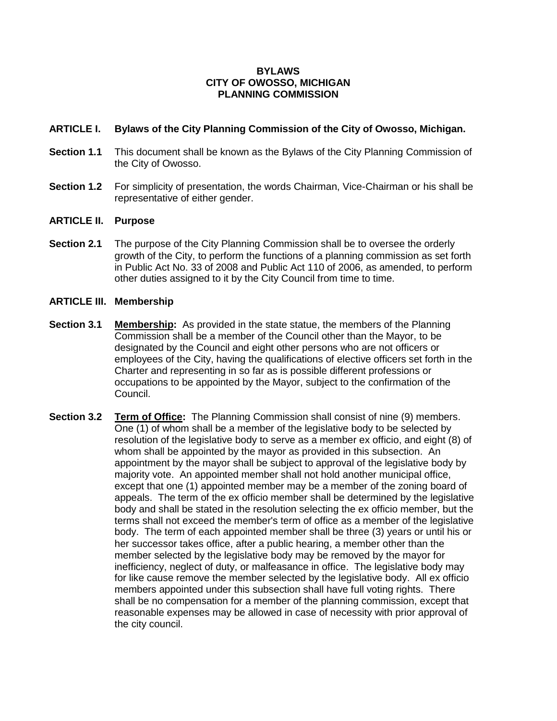## **BYLAWS CITY OF OWOSSO, MICHIGAN PLANNING COMMISSION**

## **ARTICLE I. Bylaws of the City Planning Commission of the City of Owosso, Michigan.**

- **Section 1.1** This document shall be known as the Bylaws of the City Planning Commission of the City of Owosso.
- **Section 1.2** For simplicity of presentation, the words Chairman, Vice-Chairman or his shall be representative of either gender.

#### **ARTICLE II. Purpose**

**Section 2.1** The purpose of the City Planning Commission shall be to oversee the orderly growth of the City, to perform the functions of a planning commission as set forth in Public Act No. 33 of 2008 and Public Act 110 of 2006, as amended, to perform other duties assigned to it by the City Council from time to time.

## **ARTICLE III. Membership**

- **Section 3.1 Membership:** As provided in the state statue, the members of the Planning Commission shall be a member of the Council other than the Mayor, to be designated by the Council and eight other persons who are not officers or employees of the City, having the qualifications of elective officers set forth in the Charter and representing in so far as is possible different professions or occupations to be appointed by the Mayor, subject to the confirmation of the Council.
- **Section 3.2 Term of Office:** The Planning Commission shall consist of nine (9) members. One (1) of whom shall be a member of the legislative body to be selected by resolution of the legislative body to serve as a member ex officio, and eight (8) of whom shall be appointed by the mayor as provided in this subsection. An appointment by the mayor shall be subject to approval of the legislative body by majority vote. An appointed member shall not hold another municipal office, except that one (1) appointed member may be a member of the zoning board of appeals. The term of the ex officio member shall be determined by the legislative body and shall be stated in the resolution selecting the ex officio member, but the terms shall not exceed the member's term of office as a member of the legislative body. The term of each appointed member shall be three (3) years or until his or her successor takes office, after a public hearing, a member other than the member selected by the legislative body may be removed by the mayor for inefficiency, neglect of duty, or malfeasance in office. The legislative body may for like cause remove the member selected by the legislative body. All ex officio members appointed under this subsection shall have full voting rights. There shall be no compensation for a member of the planning commission, except that reasonable expenses may be allowed in case of necessity with prior approval of the city council.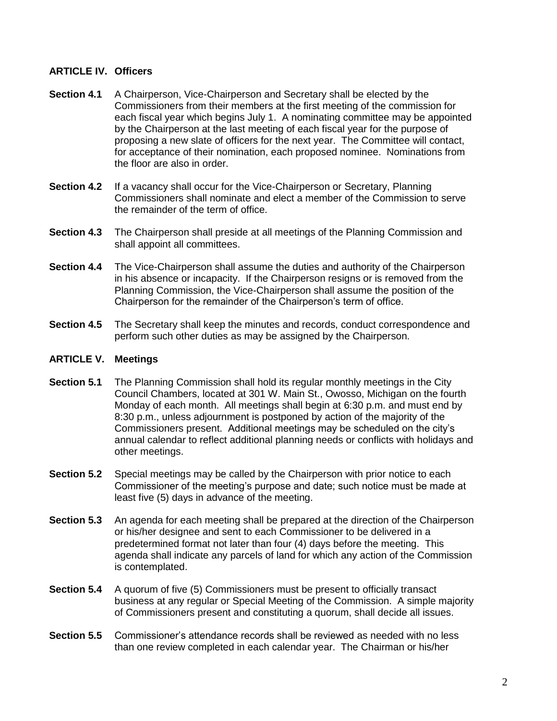# **ARTICLE IV. Officers**

- **Section 4.1** A Chairperson, Vice-Chairperson and Secretary shall be elected by the Commissioners from their members at the first meeting of the commission for each fiscal year which begins July 1. A nominating committee may be appointed by the Chairperson at the last meeting of each fiscal year for the purpose of proposing a new slate of officers for the next year. The Committee will contact, for acceptance of their nomination, each proposed nominee. Nominations from the floor are also in order.
- **Section 4.2** If a vacancy shall occur for the Vice-Chairperson or Secretary, Planning Commissioners shall nominate and elect a member of the Commission to serve the remainder of the term of office.
- **Section 4.3** The Chairperson shall preside at all meetings of the Planning Commission and shall appoint all committees.
- **Section 4.4** The Vice-Chairperson shall assume the duties and authority of the Chairperson in his absence or incapacity. If the Chairperson resigns or is removed from the Planning Commission, the Vice-Chairperson shall assume the position of the Chairperson for the remainder of the Chairperson's term of office.
- **Section 4.5** The Secretary shall keep the minutes and records, conduct correspondence and perform such other duties as may be assigned by the Chairperson.

#### **ARTICLE V. Meetings**

- **Section 5.1** The Planning Commission shall hold its regular monthly meetings in the City Council Chambers, located at 301 W. Main St., Owosso, Michigan on the fourth Monday of each month. All meetings shall begin at 6:30 p.m. and must end by 8:30 p.m., unless adjournment is postponed by action of the majority of the Commissioners present. Additional meetings may be scheduled on the city's annual calendar to reflect additional planning needs or conflicts with holidays and other meetings.
- **Section 5.2** Special meetings may be called by the Chairperson with prior notice to each Commissioner of the meeting's purpose and date; such notice must be made at least five (5) days in advance of the meeting.
- **Section 5.3** An agenda for each meeting shall be prepared at the direction of the Chairperson or his/her designee and sent to each Commissioner to be delivered in a predetermined format not later than four (4) days before the meeting. This agenda shall indicate any parcels of land for which any action of the Commission is contemplated.
- **Section 5.4** A quorum of five (5) Commissioners must be present to officially transact business at any regular or Special Meeting of the Commission. A simple majority of Commissioners present and constituting a quorum, shall decide all issues.
- **Section 5.5** Commissioner's attendance records shall be reviewed as needed with no less than one review completed in each calendar year. The Chairman or his/her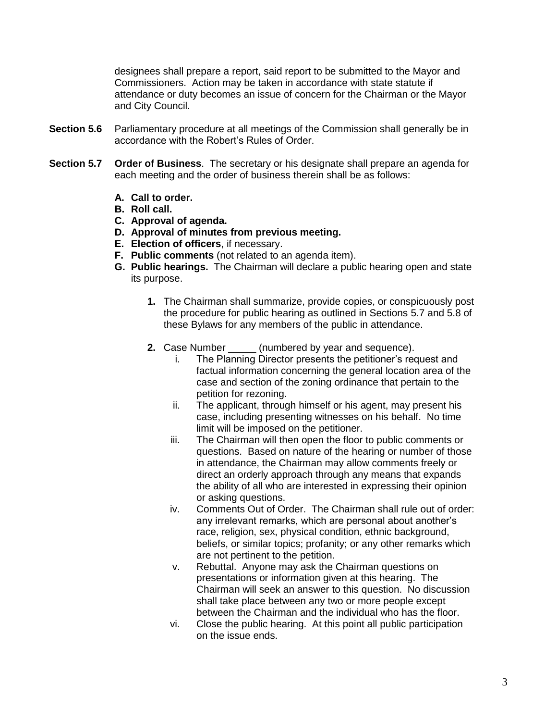designees shall prepare a report, said report to be submitted to the Mayor and Commissioners. Action may be taken in accordance with state statute if attendance or duty becomes an issue of concern for the Chairman or the Mayor and City Council.

- **Section 5.6** Parliamentary procedure at all meetings of the Commission shall generally be in accordance with the Robert's Rules of Order.
- **Section 5.7 Order of Business**. The secretary or his designate shall prepare an agenda for each meeting and the order of business therein shall be as follows:
	- **A. Call to order.**
	- **B. Roll call.**
	- **C. Approval of agenda.**
	- **D. Approval of minutes from previous meeting.**
	- **E. Election of officers**, if necessary.
	- **F. Public comments** (not related to an agenda item).
	- **G. Public hearings.** The Chairman will declare a public hearing open and state its purpose.
		- **1.** The Chairman shall summarize, provide copies, or conspicuously post the procedure for public hearing as outlined in Sections 5.7 and 5.8 of these Bylaws for any members of the public in attendance.
		- **2.** Case Number (numbered by year and sequence).
			- i. The Planning Director presents the petitioner's request and factual information concerning the general location area of the case and section of the zoning ordinance that pertain to the petition for rezoning.
			- ii. The applicant, through himself or his agent, may present his case, including presenting witnesses on his behalf. No time limit will be imposed on the petitioner.
			- iii. The Chairman will then open the floor to public comments or questions. Based on nature of the hearing or number of those in attendance, the Chairman may allow comments freely or direct an orderly approach through any means that expands the ability of all who are interested in expressing their opinion or asking questions.
			- iv. Comments Out of Order. The Chairman shall rule out of order: any irrelevant remarks, which are personal about another's race, religion, sex, physical condition, ethnic background, beliefs, or similar topics; profanity; or any other remarks which are not pertinent to the petition.
			- v. Rebuttal. Anyone may ask the Chairman questions on presentations or information given at this hearing. The Chairman will seek an answer to this question. No discussion shall take place between any two or more people except between the Chairman and the individual who has the floor.
			- vi. Close the public hearing. At this point all public participation on the issue ends.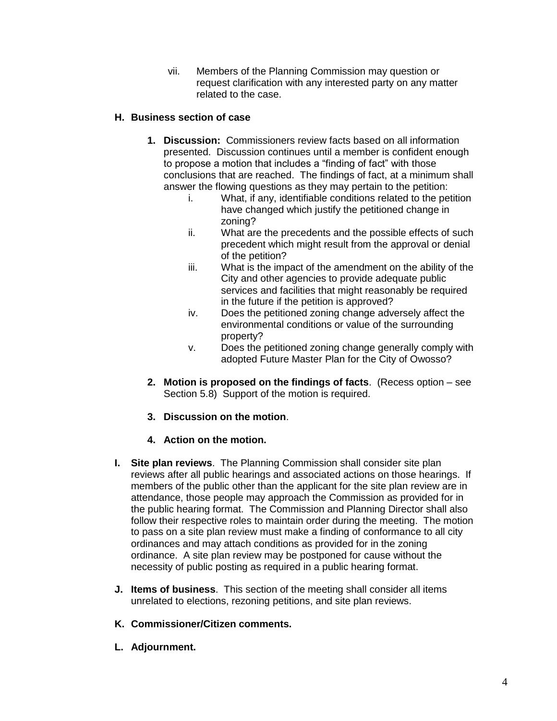vii. Members of the Planning Commission may question or request clarification with any interested party on any matter related to the case.

# **H. Business section of case**

- **1. Discussion:** Commissioners review facts based on all information presented. Discussion continues until a member is confident enough to propose a motion that includes a "finding of fact" with those conclusions that are reached. The findings of fact, at a minimum shall answer the flowing questions as they may pertain to the petition:
	- i. What, if any, identifiable conditions related to the petition have changed which justify the petitioned change in zoning?
	- ii. What are the precedents and the possible effects of such precedent which might result from the approval or denial of the petition?
	- iii. What is the impact of the amendment on the ability of the City and other agencies to provide adequate public services and facilities that might reasonably be required in the future if the petition is approved?
	- iv. Does the petitioned zoning change adversely affect the environmental conditions or value of the surrounding property?
	- v. Does the petitioned zoning change generally comply with adopted Future Master Plan for the City of Owosso?
- **2. Motion is proposed on the findings of facts**. (Recess option see Section 5.8) Support of the motion is required.
- **3. Discussion on the motion**.
- **4. Action on the motion.**
- **I. Site plan reviews**. The Planning Commission shall consider site plan reviews after all public hearings and associated actions on those hearings. If members of the public other than the applicant for the site plan review are in attendance, those people may approach the Commission as provided for in the public hearing format. The Commission and Planning Director shall also follow their respective roles to maintain order during the meeting. The motion to pass on a site plan review must make a finding of conformance to all city ordinances and may attach conditions as provided for in the zoning ordinance. A site plan review may be postponed for cause without the necessity of public posting as required in a public hearing format.
- **J. Items of business**. This section of the meeting shall consider all items unrelated to elections, rezoning petitions, and site plan reviews.
- **K. Commissioner/Citizen comments.**
- **L. Adjournment.**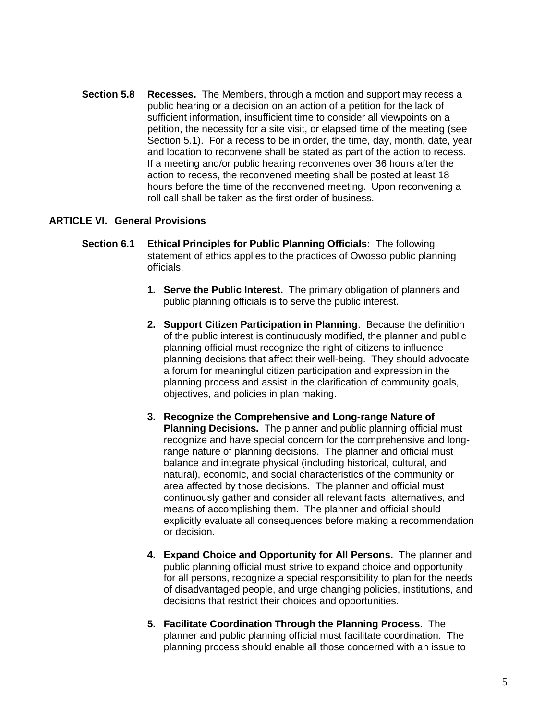**Section 5.8 Recesses.** The Members, through a motion and support may recess a public hearing or a decision on an action of a petition for the lack of sufficient information, insufficient time to consider all viewpoints on a petition, the necessity for a site visit, or elapsed time of the meeting (see Section 5.1). For a recess to be in order, the time, day, month, date, year and location to reconvene shall be stated as part of the action to recess. If a meeting and/or public hearing reconvenes over 36 hours after the action to recess, the reconvened meeting shall be posted at least 18 hours before the time of the reconvened meeting. Upon reconvening a roll call shall be taken as the first order of business.

## **ARTICLE VI. General Provisions**

- **Section 6.1 Ethical Principles for Public Planning Officials:** The following statement of ethics applies to the practices of Owosso public planning officials.
	- **1. Serve the Public Interest.** The primary obligation of planners and public planning officials is to serve the public interest.
	- **2. Support Citizen Participation in Planning**. Because the definition of the public interest is continuously modified, the planner and public planning official must recognize the right of citizens to influence planning decisions that affect their well-being. They should advocate a forum for meaningful citizen participation and expression in the planning process and assist in the clarification of community goals, objectives, and policies in plan making.
	- **3. Recognize the Comprehensive and Long-range Nature of Planning Decisions.** The planner and public planning official must recognize and have special concern for the comprehensive and longrange nature of planning decisions. The planner and official must balance and integrate physical (including historical, cultural, and natural), economic, and social characteristics of the community or area affected by those decisions. The planner and official must continuously gather and consider all relevant facts, alternatives, and means of accomplishing them. The planner and official should explicitly evaluate all consequences before making a recommendation or decision.
	- **4. Expand Choice and Opportunity for All Persons.** The planner and public planning official must strive to expand choice and opportunity for all persons, recognize a special responsibility to plan for the needs of disadvantaged people, and urge changing policies, institutions, and decisions that restrict their choices and opportunities.
	- **5. Facilitate Coordination Through the Planning Process**. The planner and public planning official must facilitate coordination. The planning process should enable all those concerned with an issue to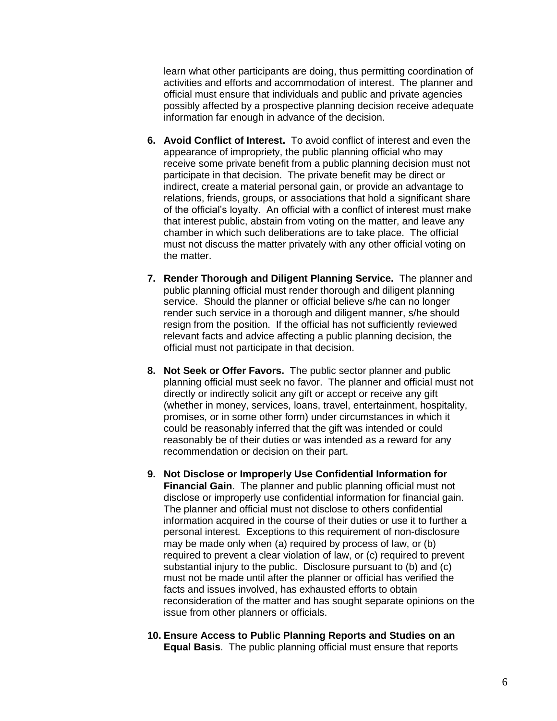learn what other participants are doing, thus permitting coordination of activities and efforts and accommodation of interest. The planner and official must ensure that individuals and public and private agencies possibly affected by a prospective planning decision receive adequate information far enough in advance of the decision.

- **6. Avoid Conflict of Interest.** To avoid conflict of interest and even the appearance of impropriety, the public planning official who may receive some private benefit from a public planning decision must not participate in that decision. The private benefit may be direct or indirect, create a material personal gain, or provide an advantage to relations, friends, groups, or associations that hold a significant share of the official's loyalty. An official with a conflict of interest must make that interest public, abstain from voting on the matter, and leave any chamber in which such deliberations are to take place. The official must not discuss the matter privately with any other official voting on the matter.
- **7. Render Thorough and Diligent Planning Service.** The planner and public planning official must render thorough and diligent planning service. Should the planner or official believe s/he can no longer render such service in a thorough and diligent manner, s/he should resign from the position. If the official has not sufficiently reviewed relevant facts and advice affecting a public planning decision, the official must not participate in that decision.
- **8. Not Seek or Offer Favors.** The public sector planner and public planning official must seek no favor. The planner and official must not directly or indirectly solicit any gift or accept or receive any gift (whether in money, services, loans, travel, entertainment, hospitality, promises, or in some other form) under circumstances in which it could be reasonably inferred that the gift was intended or could reasonably be of their duties or was intended as a reward for any recommendation or decision on their part.
- **9. Not Disclose or Improperly Use Confidential Information for Financial Gain**. The planner and public planning official must not disclose or improperly use confidential information for financial gain. The planner and official must not disclose to others confidential information acquired in the course of their duties or use it to further a personal interest. Exceptions to this requirement of non-disclosure may be made only when (a) required by process of law, or (b) required to prevent a clear violation of law, or (c) required to prevent substantial injury to the public. Disclosure pursuant to (b) and (c) must not be made until after the planner or official has verified the facts and issues involved, has exhausted efforts to obtain reconsideration of the matter and has sought separate opinions on the issue from other planners or officials.
- **10. Ensure Access to Public Planning Reports and Studies on an Equal Basis**. The public planning official must ensure that reports